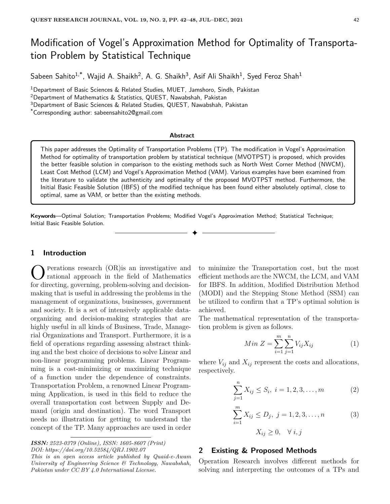# Modification of Vogel's Approximation Method for Optimality of Transportation Problem by Statistical Technique

Sabeen Sahito $^{1,*}$ , Wajid A. Shaikh $^2$ , A. G. Shaikh $^3$ , Asif Ali Shaikh $^1$ , Syed Feroz Shah $^1$ 

<sup>1</sup>Department of Basic Sciences & Related Studies, MUET, Jamshoro, Sindh, Pakistan

<sup>2</sup>Department of Mathematics & Statistics, QUEST, Nawabshah, Pakistan

<sup>3</sup>Department of Basic Sciences & Related Studies, QUEST, Nawabshah, Pakistan

\*Corresponding author: sabeensahito2@gmail.com

#### **Abstract**

This paper addresses the Optimality of Transportation Problems (TP). The modification in Vogel's Approximation Method for optimality of transportation problem by statistical technique (MVOTPST) is proposed, which provides the better feasible solution in comparison to the existing methods such as North West Corner Method (NWCM), Least Cost Method (LCM) and Vogel's Approximation Method (VAM). Various examples have been examined from the literature to validate the authenticity and optimality of the proposed MVOTPST method. Furthermore, the Initial Basic Feasible Solution (IBFS) of the modified technique has been found either absolutely optimal, close to optimal, same as VAM, or better than the existing methods.

✦

**Keywords**—Optimal Solution; Transportation Problems; Modified Vogel's Approximation Method; Statistical Technique; Initial Basic Feasible Solution.

## **1 Introduction**

**C** Perations research (OR) is an investigative and rational approach in the field of Mathematics for directing, governing, problem-solving and decisionperations research (OR)is an investigative and rational approach in the field of Mathematics making that is useful in addressing the problems in the management of organizations, businesses, government and society. It is a set of intensively applicable dataorganizing and decision-making strategies that are highly useful in all kinds of Business, Trade, Managerial Organizations and Transport. Furthermore, it is a field of operations regarding assessing abstract thinking and the best choice of decisions to solve Linear and non-linear programming problems. Linear Programming is a cost-minimizing or maximizing technique of a function under the dependence of constraints. Transportation Problem, a renowned Linear Programming Application, is used in this field to reduce the overall transportation cost between Supply and Demand (origin and destination). The word Transport needs no illustration for getting to understand the concept of the TP. Many approaches are used in order

*ISSN: 2523-0379 (Online), ISSN: 1605-8607 (Print) DOI: https://doi.org/10.52584/QRJ.1902.07*

*This is an open access article published by Quaid-e-Awam University of Engineering Science & Technology, Nawabshah, Pakistan under CC BY 4.0 International License.*

to minimize the Transportation cost, but the most efficient methods are the NWCM, the LCM, and VAM for IBFS. In addition, Modified Distribution Method (MODI) and the Stepping Stone Method (SSM) can be utilized to confirm that a TP's optimal solution is achieved.

The mathematical representation of the transportation problem is given as follows.

$$
Min Z = \sum_{i=1}^{m} \sum_{j=1}^{n} V_{ij} X_{ij}
$$
 (1)

where  $V_{ij}$  and  $X_{ij}$  represent the costs and allocations, respectively.

$$
\sum_{j=1}^{n} X_{ij} \le S_i, \ i = 1, 2, 3, \dots, m \tag{2}
$$

$$
\sum_{i=1}^{m} X_{ij} \le D_j, \ j = 1, 2, 3, \dots, n \tag{3}
$$

$$
X_{ij} \geq 0, \quad \forall \ i, j
$$

## **2 Existing & Proposed Methods**

Operation Research involves different methods for solving and interpreting the outcomes of a TPs and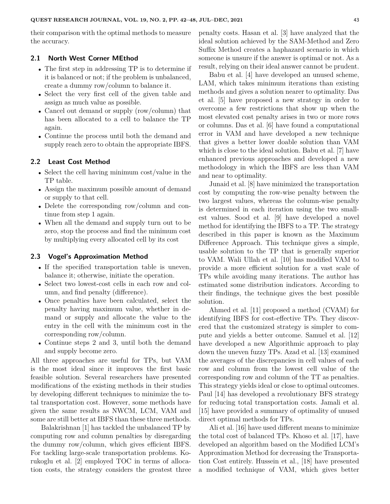their comparison with the optimal methods to measure the accuracy.

### **2.1 North West Corner MEthod**

- The first step in addressing TP is to determine if it is balanced or not; if the problem is unbalanced, create a dummy row/column to balance it.
- Select the very first cell of the given table and assign as much value as possible.
- Cancel out demand or supply (row/column) that has been allocated to a cell to balance the TP again.
- Continue the process until both the demand and supply reach zero to obtain the appropriate IBFS.

## **2.2 Least Cost Method**

- Select the cell having minimum cost/value in the TP table.
- Assign the maximum possible amount of demand or supply to that cell.
- Delete the corresponding row/column and continue from step 1 again.
- When all the demand and supply turn out to be zero, stop the process and find the minimum cost by multiplying every allocated cell by its cost

#### **2.3 Vogel's Approximation Method**

- If the specified transportation table is uneven, balance it; otherwise, initiate the operation.
- Select two lowest-cost cells in each row and column, and find penalty (difference).
- Once penalties have been calculated, select the penalty having maximum value, whether in demand or supply and allocate the value to the entry in the cell with the minimum cost in the corresponding row/column.
- Continue steps 2 and 3, until both the demand and supply become zero.

All three approaches are useful for TPs, but VAM is the most ideal since it improves the first basic feasible solution. Several researchers have presented modifications of the existing methods in their studies by developing different techniques to minimize the total transportation cost. However, some methods have given the same results as NWCM, LCM, VAM and some are still better at IBFS than these three methods.

Balakrishnan [1] has tackled the unbalanced TP by computing row and column penalties by disregarding the dummy row/column, which gives efficient IBFS. For tackling large-scale transportation problems. Korukoglu et al. [2] employed TOC in terms of allocation costs, the strategy considers the greatest three penalty costs. Hasan et al. [3] have analyzed that the ideal solution achieved by the SAM-Method and Zero Suffix Method creates a haphazard scenario in which someone is unsure if the answer is optimal or not. As a result, relying on their ideal answer cannot be prudent.

Babu et al. [4] have developed an unused scheme, LAM, which takes minimum iterations than existing methods and gives a solution nearer to optimality. Das et al. [5] have proposed a new strategy in order to overcome a few restrictions that show up when the most elevated cost penalty arises in two or more rows or columns. Das et al. [6] have found a computational error in VAM and have developed a new technique that gives a better lower doable solution than VAM which is close to the ideal solution. Babu et al. [7] have enhanced previous approaches and developed a new methodology in which the IBFS are less than VAM and near to optimality.

Junaid et al. [8] have minimized the transportation cost by computing the row-wise penalty between the two largest values, whereas the column-wise penalty is determined in each iteration using the two smallest values. Sood et al. [9] have developed a novel method for identifying the IBFS to a TP. The strategy described in this paper is known as the Maximum Difference Approach. This technique gives a simple, usable solution to the TP that is generally superior to VAM. Wali Ullah et al. [10] has modified VAM to provide a more efficient solution for a vast scale of TPs while avoiding many iterations. The author has estimated some distribution indicators. According to their findings, the technique gives the best possible solution.

Ahmed et al. [11] proposed a method (CVAM) for identifying IBFS for cost-effective TPs. They discovered that the customized strategy is simpler to compute and yields a better outcome. Samuel et al. [12] have developed a new Algorithmic approach to play down the uneven fuzzy TPs. Azad et al. [13] examined the averages of the discrepancies in cell values of each row and column from the lowest cell value of the corresponding row and column of the TT as penalties. This strategy yields ideal or close to optimal outcomes. Paul [14] has developed a revolutionary BFS strategy for reducing total transportation costs. Jamali et al. [15] have provided a summary of optimality of unused direct optimal methods for TPs.

Ali et al. [16] have used different means to minimize the total cost of balanced TPs. Khoso et al. [17], have developed an algorithm based on the Modified LCM's Approximation Method for decreasing the Transportation Cost entirely. Hussein et al., [18] have presented a modified technique of VAM, which gives better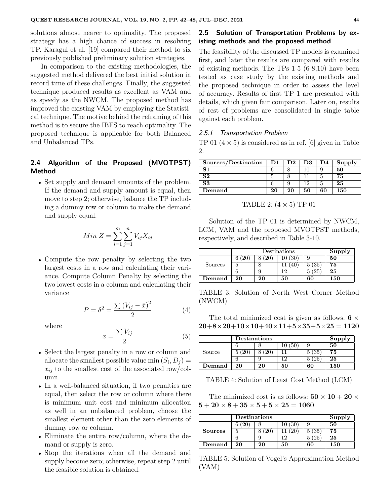solutions almost nearer to optimality. The proposed strategy has a high chance of success in resolving TP. Karagul et al. [19] compared their method to six previously published preliminary solution strategies.

In comparison to the existing methodologies, the suggested method delivered the best initial solution in record time of these challenges. Finally, the suggested technique produced results as excellent as VAM and as speedy as the NWCM. The proposed method has improved the existing VAM by employing the Statistical technique. The motive behind the reframing of this method is to secure the IBFS to reach optimality. The proposed technique is applicable for both Balanced and Unbalanced TPs.

## **2.4 Algorithm of the Proposed (MVOTPST) Method**

• Set supply and demand amounts of the problem. If the demand and supply amount is equal, then move to step 2; otherwise, balance the TP including a dummy row or column to make the demand and supply equal.

$$
Min Z = \sum_{i=1}^{m} \sum_{j=1}^{n} V_{ij} X_{ij}
$$

• Compute the row penalty by selecting the two largest costs in a row and calculating their variance. Compute Column Penalty by selecting the two lowest costs in a column and calculating their variance

$$
P = \delta^2 = \frac{\sum (V_{ij} - \bar{x})^2}{2}
$$
 (4)

where

$$
\bar{x} = \frac{\sum V_{ij}}{2} \tag{5}
$$

- Select the largest penalty in a row or column and allocate the smallest possible value min  $(S_i, D_j)$  =  $x_{ij}$  to the smallest cost of the associated row/column.
- In a well-balanced situation, if two penalties are equal, then select the row or column where there is minimum unit cost and minimum allocation as well in an unbalanced problem, choose the smallest element other than the zero elements of dummy row or column.
- Eliminate the entire row/column, where the demand or supply is zero.
- Stop the iterations when all the demand and supply become zero; otherwise, repeat step 2 until the feasible solution is obtained.

# **2.5 Solution of Transportation Problems by existing methods and the proposed method**

The feasibility of the discussed TP models is examined first, and later the results are compared with results of existing methods. The TPs 1-5 (6-8,10) have been tested as case study by the existing methods and the proposed technique in order to assess the level of accuracy. Results of first TP 1 are presented with details, which given fair comparison. Later on, results of rest of problems are consolidated in single table against each problem.

## 2.5.1 Transportation Problem

TP 01  $(4 \times 5)$  is considered as in ref. [6] given in Table 2.

| Sources/Destination | D1 | D2 | D3 | D4 | Supply |
|---------------------|----|----|----|----|--------|
| S <sub>1</sub>      |    |    | 10 |    | 50     |
| S <sub>2</sub>      |    |    |    |    | 75     |
| S3                  |    |    | 19 |    | 25     |
| Demand              | 20 | 20 | 50 | 60 | 150    |

TABLE 2:  $(4 \times 5)$  TP 01

Solution of the TP 01 is determined by NWCM, LCM, VAM and the proposed MVOTPST methods, respectively, and described in Table 3-10.

|         |    | Destinations |    |     |     |
|---------|----|--------------|----|-----|-----|
|         |    |              | 30 |     | 50  |
| Sources |    |              |    | '35 | 75  |
|         |    |              |    | 25  | 25  |
| Demand  | 20 | 20           | 50 | 60  | 150 |

TABLE 3: Solution of North West Corner Method (NWCM)

The total minimized cost is given as follows.  $6 \times$ **20**+**8**×**20**+**10**×**10**+**40**×**11**+**5**×**35**+**5**×**25** = **1120**

|                | Destinations | Supply |     |     |     |
|----------------|--------------|--------|-----|-----|-----|
|                |              |        | '50 |     | 50  |
| Source         |              |        |     | '35 | 75  |
|                |              |        | 1 ຕ | 25  | 25  |
| ${\bf Demand}$ | 20           | 20     | 50  | 60  | 150 |

TABLE 4: Solution of Least Cost Method (LCM)

The minimized cost is as follows:  $50 \times 10 + 20 \times$  $5 + 20 \times 8 + 35 \times 5 + 5 \times 25 = 1060$ 

|                | <b>Destinations</b> | Supply |        |      |     |
|----------------|---------------------|--------|--------|------|-----|
|                |                     |        | 10 (30 |      | 50  |
| <b>Sources</b> |                     |        |        | (35) | 75  |
|                |                     |        | 1 ດ    | (25  | 25  |
| ${\bf Demand}$ | 20                  | 20     | 50     | 60   | 150 |

TABLE 5: Solution of Vogel's Approximation Method (VAM)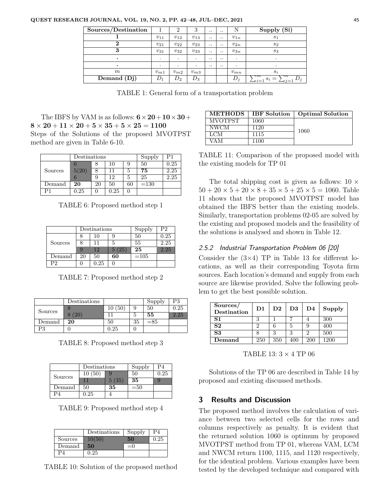| Sources/Destination |          | $\overline{2}$ | 3              | $\cdot$ . |               |          | Supply (Si)                                          |
|---------------------|----------|----------------|----------------|-----------|---------------|----------|------------------------------------------------------|
|                     | $v_{11}$ | $v_{12}$       | $v_{13}$       | $\cdot$ . | $\cdot$ .     | $v_{1n}$ | s <sub>1</sub>                                       |
|                     | $v_{21}$ | $v_{22}$       | $v_{23}$       | $\cdot$ . | $\cdot$ .     | $v_{2n}$ | $s_2$                                                |
|                     | $v_{31}$ | $v_{32}$       | $v_{33}$       | $\cdot$ . | $\cdot \cdot$ | $v_{3n}$ | $s_3$                                                |
|                     | ٠        | $\cdot$        | $\cdot$        | $\cdot$ . |               | $\cdot$  |                                                      |
|                     |          | ۰              | $\cdot$        | $\cdot$ . | $\cdot$ .     | $\cdot$  |                                                      |
| m                   | $v_{m1}$ | $v_{m2}$       | $v_{m3}$       |           |               | $v_{mn}$ | $s_i$                                                |
| Demand(Dj)          | $D_1$    | $\,D_2$        | $\mathbb{D}_3$ |           |               | $D_j$    | $\lnot m$<br>$\lnot n$<br>$\blacksquare$<br>$-1 = 1$ |

TABLE 1: General form of a transportation problem

The IBFS by VAM is as follows:  $6 \times 20 + 10 \times 30 +$  $8 \times 20 + 11 \times 20 + 5 \times 35 + 5 \times 25 = 1100$ Steps of the Solutions of the proposed MVOTPST method are given in Table 6-10.

|              | Destinations |    |          |    | Supply | P1   |
|--------------|--------------|----|----------|----|--------|------|
|              |              |    | 10       | 9  | 50     | 0.25 |
| Sources      | 5(20)        |    | 11       | 5  | 75     | 2.25 |
|              |              | 9  | 12       | 5  | 25     | 2.25 |
| $\rm Demand$ | 20           | 20 | 50       | 60 | $=130$ |      |
| ר כ          | $\rm 0.25$   |    | $0.25\,$ |    |        |      |

TABLE 6: Proposed method step 1

|              |    | Destinations | Supply | P2     |      |
|--------------|----|--------------|--------|--------|------|
|              | 8  | 10           |        | 50     | 0.25 |
| Sources      | 8  | 11           | 5      | 55     | 2.25 |
|              | 9  | 12           | 5(25)  | 25     | 2.25 |
| $\rm Demand$ | 20 | 50           | 60     | $=105$ |      |
| P2           |    | 0.25         |        |        |      |

TABLE 7: Proposed method step 2

|         | Destinations |        |    | Supply | P3   |
|---------|--------------|--------|----|--------|------|
|         |              | 10(50) |    | 50     | 0.25 |
| Sources |              |        |    | 55     | 2.25 |
| Demand  | 20           | 50     | 35 | $= 85$ |      |
| P3      |              | 0.25   |    |        |      |

TABLE 8: Proposed method step 3

|         | Destinations |       | Supply | P4   |
|---------|--------------|-------|--------|------|
| Sources | 10(50)       |       | 50     | 0.25 |
|         |              | 5(35) | 35     |      |
| Demand  | 50           | 35    | $= 50$ |      |
| PΔ      | 0.25         |       |        |      |

TABLE 9: Proposed method step 4

|         | Destinations | Supply | P4   |
|---------|--------------|--------|------|
| Sources | 10(50)       | 50     | 0.25 |
| Demand  | 50           | $=()$  |      |
|         | 0.25         |        |      |

TABLE 10: Solution of the proposed method

| <b>METHODS</b> | <b>IBF</b> Solution | <b>Optimal Solution</b> |
|----------------|---------------------|-------------------------|
| <b>MVOTPST</b> | 1060                |                         |
| <b>NWCM</b>    | 1120                | 1060                    |
| LCM            | 1115                |                         |
| VA M           | 1100                |                         |

| TABLE 11: Comparison of the proposed model with |  |  |
|-------------------------------------------------|--|--|
| the existing models for TP 01                   |  |  |

The total shipping cost is given as follows:  $10 \times$  $50 + 20 \times 5 + 20 \times 8 + 35 \times 5 + 25 \times 5 = 1060$ . Table 11 shows that the proposed MVOTPST model has obtained the IBFS better than the existing models. Similarly, transportation problems 02-05 are solved by the existing and proposed models and the feasibility of the solutions is analysed and shown in Table 12.

## 2.5.2 Industrial Transportation Problem 06 [20]

Consider the  $(3\times4)$  TP in Table 13 for different locations, as well as their corresponding Toyota firm sources. Each location's demand and supply from each source are likewise provided. Solve the following problem to get the best possible solution.

| Sources/<br><b>Destination</b> | $\mathbf{D1}$ | $\mathbf{D}2$ | D <sub>3</sub> | D4         | Supply |
|--------------------------------|---------------|---------------|----------------|------------|--------|
| S <sub>1</sub>                 | 3             |               |                |            | 300    |
| S <sub>2</sub>                 | 2             |               | 5              |            | 400    |
| S <sub>3</sub>                 |               | 2             | 3              |            | 500    |
| Demand                         | 250           | 350           | 400            | <b>200</b> | 1200   |

TABLE 13:  $3 \times 4$  TP 06

Solutions of the TP 06 are described in Table 14 by proposed and existing discussed methods.

# **3 Results and Discussion**

The proposed method involves the calculation of variance between two selected cells for the rows and columns respectively as penalty. It is evident that the returned solution 1060 is optimum by proposed MVOTPST method from TP 01, whereas VAM, LCM and NWCM return 1100, 1115, and 1120 respectively, for the identical problem. Various examples have been tested by the developed technique and compared with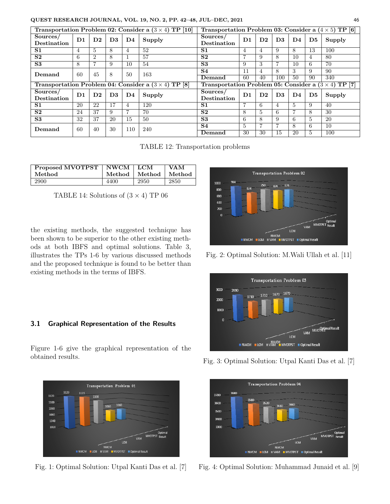## **QUEST RESEARCH JOURNAL, VOL. 19, NO. 2, PP. 42–48, JUL–DEC, 2021** 46

| Transportation Problem 02: Consider a $(3 \times 4)$ TP [10] |                |                |                                                             |     | Transportation Problem 03: Consider a $(4 \times 5)$ TP [6] |                         |                |                |                |              |                |        |
|--------------------------------------------------------------|----------------|----------------|-------------------------------------------------------------|-----|-------------------------------------------------------------|-------------------------|----------------|----------------|----------------|--------------|----------------|--------|
| Sources/<br>Destination                                      | D1             | $\mathbf{D2}$  | D <sub>3</sub>                                              | D4  | Supply                                                      | Sources/<br>Destination | $\mathbf{D1}$  | D <sub>2</sub> | D3             | D4           | $\mathbf{D5}$  | Supply |
| S <sub>1</sub>                                               | $\overline{4}$ | $\overline{5}$ | 8                                                           | 4   | 52                                                          | S <sub>1</sub>          | 4              | 4              | 9              | 8            | 13             | 100    |
| S <sub>2</sub>                                               | 6              | $\overline{2}$ | 8                                                           |     | 57                                                          | S <sub>2</sub>          | $\overline{ }$ | 9              | 8              | 10           | $\overline{4}$ | 80     |
| S3                                                           | 8              | $\overline{7}$ | 9                                                           | 10  | 54                                                          | S3                      | 9              | 3              |                | 10           | 6              | 70     |
| Demand                                                       | 60             | 45             | 8                                                           | 50  | 163                                                         | S <sub>4</sub>          | 11             | 4              | 8              | 3            | 9              | 90     |
|                                                              |                |                |                                                             |     |                                                             | Demand                  | 60             | 40             | 100            | 50           | 90             | 340    |
| Transportation Problem 04: Consider a $(3 \times 4)$ TP [8]  |                |                | Transportation Problem 05: Consider a $(3 \times 4)$ TP [7] |     |                                                             |                         |                |                |                |              |                |        |
|                                                              |                |                |                                                             |     |                                                             |                         |                |                |                |              |                |        |
| Sources/<br>Destination                                      | D1             | $\mathbf{D2}$  | D <sub>3</sub>                                              | D4  | Supply                                                      | Sources/<br>Destination | D1             | D <sub>2</sub> | D <sub>3</sub> | D4           | $\mathbf{D5}$  | Supply |
| S <sub>1</sub>                                               | 20             | 22             | 17                                                          | 4   | 120                                                         | S <sub>1</sub>          | 7              | 6              | 4              | $\mathbf{5}$ | 9              | 40     |
| S <sub>2</sub>                                               | 24             | 37             | 9                                                           |     | 70                                                          | S <sub>2</sub>          | 8              | 5              | 6              |              | 8              | 30     |
| S3                                                           | 32             | 37             | 20                                                          | 15  | 50                                                          | S3                      | 6              | 8              | 9              | 6            | 5              | 20     |
| Demand                                                       | 60             | 40             | 30                                                          | 110 | 240                                                         | S <sub>4</sub>          | $\overline{5}$ | 7              | ⇁              | 8            | 6              | 10     |

TABLE 12: Transportation problems

| Proposed MVOTPST | NWCM   | LCM    | <b>VAM</b> |
|------------------|--------|--------|------------|
| Method           | Method | Method | Method     |
| 2900             | 4400   | 2950   | 2850       |

TABLE 14: Solutions of  $(3 \times 4)$  TP 06

the existing methods, the suggested technique has been shown to be superior to the other existing methods at both IBFS and optimal solutions. Table 3, illustrates the TPs 1-6 by various discussed methods and the proposed technique is found to be better than existing methods in the terms of IBFS.

## **3.1 Graphical Representation of the Results**

Figure 1-6 give the graphical representation of the obtained results.



Fig. 1: Optimal Solution: Utpal Kanti Das et al. [7]



Fig. 2: Optimal Solution: M.Wali Ullah et al. [11]



Fig. 3: Optimal Solution: Utpal Kanti Das et al. [7]



Fig. 4: Optimal Solution: Muhammad Junaid et al. [9]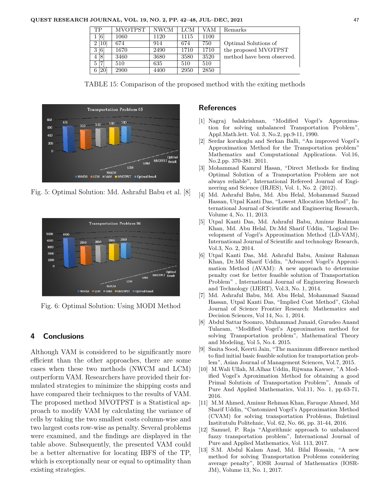| TР                | <b>MVOTPST</b> | <b>NWCM</b> | LCM  | VAM  | Remarks                    |
|-------------------|----------------|-------------|------|------|----------------------------|
| $\lceil 6 \rceil$ | 1060           | 1120        | 1115 | 1100 |                            |
| 2 [10]            | 674            | 914         | 674  | 750  | Optimal Solutions of       |
| 3[6]              | 1670           | 2490        | 1710 | 1710 | the proposed MVOTPST       |
| 4 [8]             | 3460           | 3680        | 3580 | 3520 | method have been observed. |
| $5 \vert 7$       | 510            | 635         | 510  | 510  |                            |
| 6 [20]            | 2900           | 4400        | 2950 | 2850 |                            |





Fig. 5: Optimal Solution: Md. Ashraful Babu et al. [8]



Fig. 6: Optimal Solution: Using MODI Method

## **4 Conclusions**

Although VAM is considered to be significantly more efficient than the other approaches, there are some cases when these two methods (NWCM and LCM) outperform VAM. Researchers have provided their formulated strategies to minimize the shipping costs and have compared their techniques to the results of VAM. The proposed method MVOTPST is a Statistical approach to modify VAM by calculating the variance of cells by taking the two smallest costs column-wise and two largest costs row-wise as penalty. Several problems were examined, and the findings are displayed in the table above. Subsequently, the presented VAM could be a better alternative for locating IBFS of the TP, which is exceptionally near or equal to optimality than existing strategies.

## **References**

- [1] Nagraj balakrishnan, "Modified Vogel's Approximation for solving unbalanced Transportation Problem", Appl.Math.lett. Vol. 3, No.2, pp.9-11, 1990.
- [2] Serdar korukoglu and Serkan Balli, "An improved Vogel's Approximation Method for the Transportation problem" Mathematics and Computational Applications. Vol.16, No.2.pp. 370-381. 2011.
- [3] Mohammad Kamrul Hasan, "Direct Methods for finding Optimal Solution of a Transportation Problem are not always reliable", International Refereed Journal of Engineering and Science (IRJES), Vol. 1, No. 2. (2012).
- [4] Md. Ashraful Babu, Md. Abu Helal, Mohammad Sazzad Hassan, Utpal Kanti Das, "Lowest Allocation Method", International Journal of Scientific and Engineering Research, Volume 4, No. 11, 2013.
- [5] Utpal Kanti Das, Md. Ashraful Babu, Aminur Rahman Khan, Md. Abu Helal, Dr.Md Sharif Uddin, "Logical Development of Vogel's Approximation Method (LD-VAM), International Journal of Scientific and technology Research, Vol.3, No. 2, 2014.
- [6] Utpal Kanti Das, Md. Ashraful Babu, Aminur Rahman Khan, Dr.Md Sharif Uddin, "Advanced Vogel's Approximation Method (AVAM): A new approach to determine penalty cost for better feasible solution of Transportation Problem" , International Journal of Engineering Research and Technology (IJERT), Vol.3, No. 1, 2014.
- [7] Md. Ashraful Babu, Md. Abu Helal, Mohammad Sazzad Hassan, Utpal Kanti Das, "Implied Cost Method", Global Journal of Science Frontier Research: Mathematics and Decision Sciences, Vol 14, No. 1, 2014.
- [8] Abdul Sattar Soomro, Muhammad Junaid, Gurudeo Anand Tularam, "Modified Vogel's Approximation method for solving Transportation problem", Mathematical Theory and Modeling, Vol 5, No.4. 2015.
- [9] Smita Sood, Keerti Jain, "The maximum difference method to find initial basic feasible solution for transportation problem", Asian Journal of Management Sciences, Vol.7, 2015.
- [10] M.Wali Ullah, M.Alhaz Uddin, Rijwana Kawser, "A Modified Vogel's Aproximation Method for obtaining a good Primal Solutioin of Transportation Problem", Annals of Pure And Applied Mathematics, Vol.11, No. 1, pp.63-71, 2016.
- [11] M.M Ahmed, Aminur Rehman Khan, Faruque Ahmed, Md Sharif Uddin, "Customized Vogel's Approximation Method (CVAM) for solving transportation Problems, Buletinul Institutulu Politehnic, Vol. 62, No. 66, pp. 31-44, 2016.
- [12] Samuel, P. Raja "Algorithmic approach to unbalanced fuzzy transportation problem", International Journal of Pure and Applied Mathematics, Vol. 113, 2017.
- [13] S.M. Abdul Kalam Azad, Md. Bilal Hossain, "A new method for solving Transportation Problems considering average penalty", IOSR Journal of Mathematics (IOSR-JM), Volume 13, No. 1, 2017.